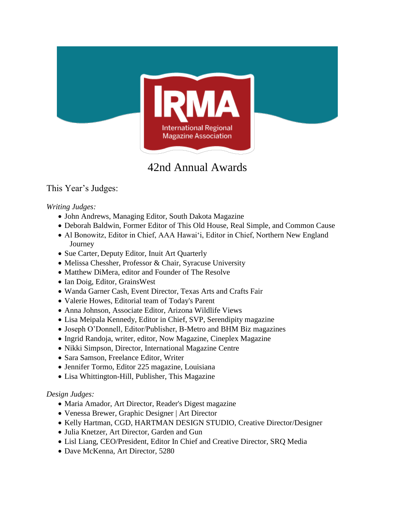

## 42nd Annual Awards

## This Year's Judges:

#### *Writing Judges:*

- John Andrews, Managing Editor, South Dakota Magazine
- Deborah Baldwin, Former Editor of This Old House, Real Simple, and Common Cause
- Al Bonowitz, Editor in Chief, AAA Hawai'i, Editor in Chief, Northern New England Journey
- Sue Carter, Deputy Editor, Inuit Art Quarterly
- Melissa Chessher, Professor & Chair, Syracuse University
- Matthew DiMera, editor and Founder of The Resolve
- Ian Doig, Editor, GrainsWest
- Wanda Garner Cash, Event Director, Texas Arts and Crafts Fair
- Valerie Howes, Editorial team of Today's Parent
- Anna Johnson, Associate Editor, Arizona Wildlife Views
- Lisa Meipala Kennedy, Editor in Chief, SVP, Serendipity magazine
- Joseph O'Donnell, Editor/Publisher, B-Metro and BHM Biz magazines
- Ingrid Randoja, writer, editor, Now Magazine, Cineplex Magazine
- Nikki Simpson, Director, International Magazine Centre
- Sara Samson, Freelance Editor, Writer
- Jennifer Tormo, Editor 225 magazine, Louisiana
- Lisa Whittington-Hill, Publisher, This Magazine

#### *Design Judges:*

- Maria Amador, Art Director, Reader's Digest magazine
- Venessa Brewer, Graphic Designer | Art Director
- Kelly Hartman, CGD, HARTMAN DESIGN STUDIO, Creative Director/Designer
- Julia Knetzer, Art Director, Garden and Gun
- Lisl Liang, CEO/President, Editor In Chief and Creative Director, SRQ Media
- Dave McKenna, Art Director, 5280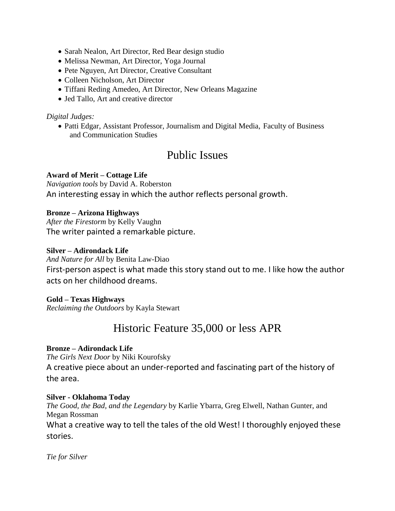- Sarah Nealon, Art Director, Red Bear design studio
- Melissa Newman, Art Director, Yoga Journal
- Pete Nguyen, Art Director, Creative Consultant
- Colleen Nicholson, Art Director
- Tiffani Reding Amedeo, Art Director, New Orleans Magazine
- Jed Tallo, Art and creative director

#### *Digital Judges:*

 Patti Edgar, Assistant Professor, Journalism and Digital Media, Faculty of Business and Communication Studies

# Public Issues

#### **Award of Merit – Cottage Life**

*Navigation tools* by David A. Roberston An interesting essay in which the author reflects personal growth.

#### **Bronze – Arizona Highways**

*After the Firestorm* by Kelly Vaughn The writer painted a remarkable picture.

#### **Silver – Adirondack Life**

*And Nature for All* by Benita Law-Diao

First-person aspect is what made this story stand out to me. I like how the author acts on her childhood dreams.

#### **Gold – Texas Highways**

*Reclaiming the Outdoors* by Kayla Stewart

## Historic Feature 35,000 or less APR

### **Bronze – Adirondack Life**

*The Girls Next Door* by Niki Kourofsky A creative piece about an under-reported and fascinating part of the history of the area.

### **Silver - Oklahoma Today** *The Good, the Bad, and the Legendary* by Karlie Ybarra, Greg Elwell, Nathan Gunter, and Megan Rossman What a creative way to tell the tales of the old West! I thoroughly enjoyed these stories.

*Tie for Silver*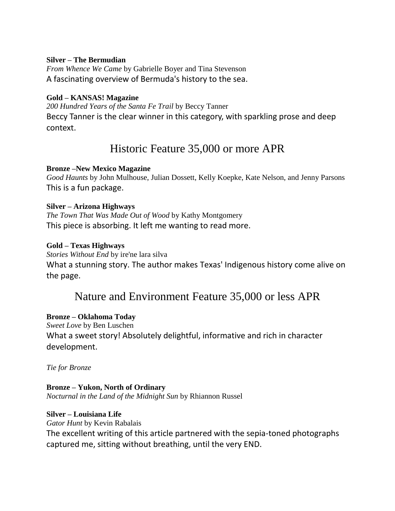#### **Silver – The Bermudian**

*From Whence We Came* by Gabrielle Boyer and Tina Stevenson A fascinating overview of Bermuda's history to the sea.

#### **Gold – KANSAS! Magazine**

*200 Hundred Years of the Santa Fe Trail* by Beccy Tanner Beccy Tanner is the clear winner in this category, with sparkling prose and deep context.

## Historic Feature 35,000 or more APR

#### **Bronze –New Mexico Magazine**

*Good Haunts* by John Mulhouse, Julian Dossett, Kelly Koepke, Kate Nelson, and Jenny Parsons This is a fun package.

#### **Silver – Arizona Highways**

*The Town That Was Made Out of Wood* by Kathy Montgomery This piece is absorbing. It left me wanting to read more.

#### **Gold – Texas Highways**

*Stories Without End* by ire'ne lara silva

What a stunning story. The author makes Texas' Indigenous history come alive on the page.

## Nature and Environment Feature 35,000 or less APR

#### **Bronze – Oklahoma Today**

*Sweet Love* by Ben Luschen What a sweet story! Absolutely delightful, informative and rich in character development.

*Tie for Bronze*

### **Bronze – Yukon, North of Ordinary**

*Nocturnal in the Land of the Midnight Sun* by Rhiannon Russel

### **Silver – Louisiana Life**

*Gator Hunt* by Kevin Rabalais

The excellent writing of this article partnered with the sepia-toned photographs captured me, sitting without breathing, until the very END.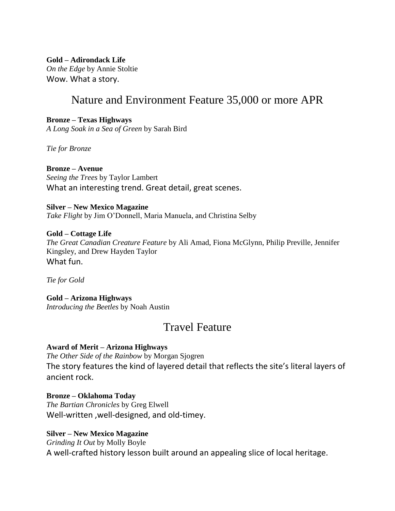**Gold – Adirondack Life**

*On the Edge* by Annie Stoltie Wow. What a story.

## Nature and Environment Feature 35,000 or more APR

**Bronze – Texas Highways**

*A Long Soak in a Sea of Green* by Sarah Bird

*Tie for Bronze*

## **Bronze – Avenue**

*Seeing the Trees* by Taylor Lambert What an interesting trend. Great detail, great scenes.

**Silver – New Mexico Magazine**

*Take Flight* by Jim O'Donnell, Maria Manuela, and Christina Selby

## **Gold – Cottage Life**

*The Great Canadian Creature Feature* by Ali Amad, Fiona McGlynn, Philip Preville, Jennifer Kingsley, and Drew Hayden Taylor What fun.

*Tie for Gold*

**Gold – Arizona Highways** *Introducing the Beetles* by Noah Austin

# Travel Feature

## **Award of Merit – Arizona Highways**

*The Other Side of the Rainbow* by Morgan Sjogren The story features the kind of layered detail that reflects the site's literal layers of ancient rock.

**Bronze – Oklahoma Today** *The Bartian Chronicles* by Greg Elwell Well-written ,well-designed, and old-timey.

## **Silver – New Mexico Magazine**

*Grinding It Out* by Molly Boyle A well-crafted history lesson built around an appealing slice of local heritage.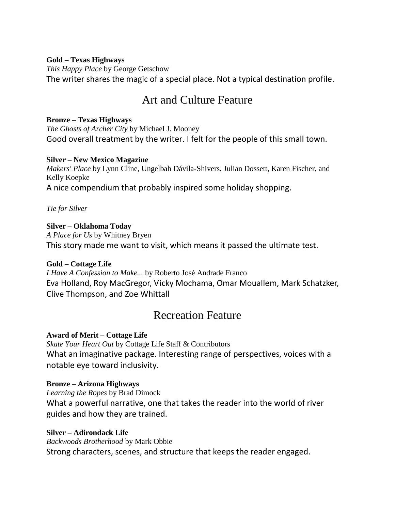#### **Gold – Texas Highways**

*This Happy Place* by George Getschow The writer shares the magic of a special place. Not a typical destination profile.

# Art and Culture Feature

#### **Bronze – Texas Highways**

*The Ghosts of Archer City* by Michael J. Mooney Good overall treatment by the writer. I felt for the people of this small town.

#### **Silver – New Mexico Magazine**

*Makers' Place* by Lynn Cline, Ungelbah Dávila-Shivers, Julian Dossett, Karen Fischer, and Kelly Koepke

A nice compendium that probably inspired some holiday shopping.

*Tie for Silver*

## **Silver – Oklahoma Today**

*A Place for Us* by Whitney Bryen This story made me want to visit, which means it passed the ultimate test.

### **Gold – Cottage Life**

*I Have A Confession to Make...* by Roberto José Andrade Franco Eva Holland, Roy MacGregor, Vicky Mochama, Omar Mouallem, Mark Schatzker, Clive Thompson, and Zoe Whittall

## Recreation Feature

## **Award of Merit – Cottage Life**

*Skate Your Heart Out* by Cottage Life Staff & Contributors What an imaginative package. Interesting range of perspectives, voices with a notable eye toward inclusivity.

### **Bronze – Arizona Highways**

*Learning the Ropes* by Brad Dimock

What a powerful narrative, one that takes the reader into the world of river guides and how they are trained.

### **Silver – Adirondack Life**

*Backwoods Brotherhood* by Mark Obbie Strong characters, scenes, and structure that keeps the reader engaged.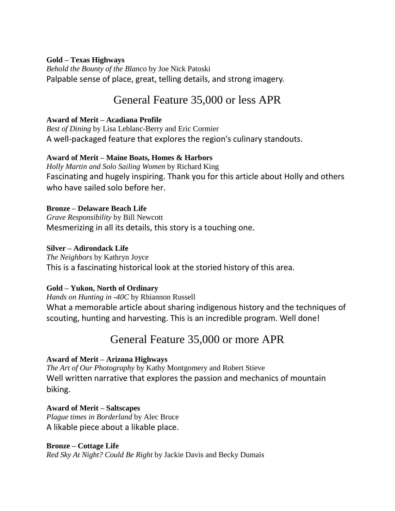#### **Gold – Texas Highways**

*Behold the Bounty of the Blanco* by Joe Nick Patoski Palpable sense of place, great, telling details, and strong imagery.

## General Feature 35,000 or less APR

#### **Award of Merit – Acadiana Profile**

*Best of Dining* by Lisa Leblanc-Berry and Eric Cormier A well-packaged feature that explores the region's culinary standouts.

#### **Award of Merit – Maine Boats, Homes & Harbors**

*Holly Martin and Solo Sailing Women* by Richard King Fascinating and hugely inspiring. Thank you for this article about Holly and others who have sailed solo before her.

#### **Bronze – Delaware Beach Life**

*Grave Responsibility* by Bill Newcott Mesmerizing in all its details, this story is a touching one.

#### **Silver – Adirondack Life**

*The Neighbors* by Kathryn Joyce

This is a fascinating historical look at the storied history of this area.

#### **Gold – Yukon, North of Ordinary**

*Hands on Hunting in -40C* by Rhiannon Russell What a memorable article about sharing indigenous history and the techniques of

scouting, hunting and harvesting. This is an incredible program. Well done!

## General Feature 35,000 or more APR

#### **Award of Merit – Arizona Highways**

*The Art of Our Photography* by Kathy Montgomery and Robert Stieve Well written narrative that explores the passion and mechanics of mountain biking.

**Award of Merit – Saltscapes** *Plague times in Borderland* by Alec Bruce A likable piece about a likable place.

#### **Bronze – Cottage Life**

*Red Sky At Night? Could Be Right* by Jackie Davis and Becky Dumais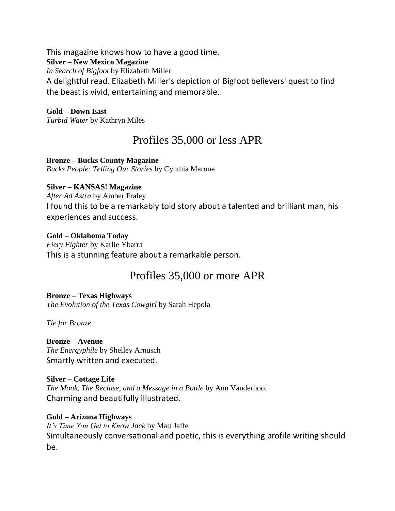This magazine knows how to have a good time. **Silver – New Mexico Magazine** *In Search of Bigfoot* by Elizabeth Miller A delightful read. Elizabeth Miller's depiction of Bigfoot believers' quest to find the beast is vivid, entertaining and memorable.

#### **Gold – Down East**

*Turbid Water* by Kathryn Miles

## Profiles 35,000 or less APR

**Bronze – Bucks County Magazine** *Bucks People: Telling Our Stories* by Cynthia Marone

#### **Silver – KANSAS! Magazine**

*After Ad Astra* by Amber Fraley I found this to be a remarkably told story about a talented and brilliant man, his experiences and success.

**Gold – Oklahoma Today** *Fiery Fighter* by Karlie Ybarra This is a stunning feature about a remarkable person.

## Profiles 35,000 or more APR

**Bronze – Texas Highways** *The Evolution of the Texas Cowgirl* by Sarah Hepola

*Tie for Bronze*

**Bronze – Avenue** *The Energyphile* by Shelley Arnusch Smartly written and executed.

**Silver – Cottage Life** *The Monk, The Recluse, and a Message in a Bottle* by Ann Vanderhoof Charming and beautifully illustrated.

**Gold – Arizona Highways** *It's Time You Get to Know Jack* by Matt Jaffe Simultaneously conversational and poetic, this is everything profile writing should be.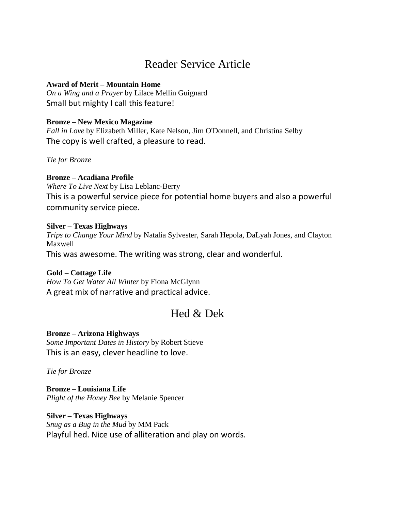## Reader Service Article

#### **Award of Merit – Mountain Home**

*On a Wing and a Prayer* by Lilace Mellin Guignard Small but mighty I call this feature!

#### **Bronze – New Mexico Magazine**

*Fall in Love* by Elizabeth Miller, Kate Nelson, Jim O'Donnell, and Christina Selby The copy is well crafted, a pleasure to read.

*Tie for Bronze*

### **Bronze – Acadiana Profile**

*Where To Live Next* by Lisa Leblanc-Berry This is a powerful service piece for potential home buyers and also a powerful community service piece.

#### **Silver – Texas Highways**

*Trips to Change Your Mind* by Natalia Sylvester, Sarah Hepola, DaLyah Jones, and Clayton Maxwell This was awesome. The writing was strong, clear and wonderful.

#### **Gold – Cottage Life**

*How To Get Water All Winter* by Fiona McGlynn A great mix of narrative and practical advice.

# Hed & Dek

**Bronze – Arizona Highways** *Some Important Dates in History* by Robert Stieve This is an easy, clever headline to love.

*Tie for Bronze*

**Bronze – Louisiana Life** *Plight of the Honey Bee* by Melanie Spencer

### **Silver – Texas Highways**

*Snug as a Bug in the Mud* by MM Pack Playful hed. Nice use of alliteration and play on words.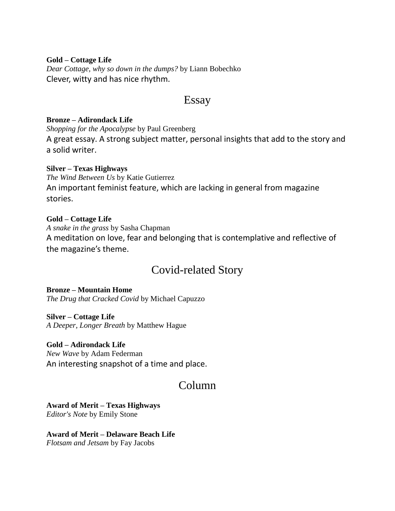**Gold – Cottage Life**

*Dear Cottage, why so down in the dumps?* by Liann Bobechko Clever, witty and has nice rhythm.

## Essay

#### **Bronze – Adirondack Life**

*Shopping for the Apocalypse* by Paul Greenberg A great essay. A strong subject matter, personal insights that add to the story and a solid writer.

### **Silver – Texas Highways**

*The Wind Between Us* by Katie Gutierrez An important feminist feature, which are lacking in general from magazine stories.

#### **Gold – Cottage Life**

*A snake in the grass* by Sasha Chapman A meditation on love, fear and belonging that is contemplative and reflective of the magazine's theme.

## Covid-related Story

**Bronze – Mountain Home** *The Drug that Cracked Covid* by Michael Capuzzo

#### **Silver – Cottage Life** *A Deeper, Longer Breath* by Matthew Hague

**Gold – Adirondack Life** *New Wave* by Adam Federman An interesting snapshot of a time and place.

## Column

#### **Award of Merit – Texas Highways** *Editor's Note* by Emily Stone

#### **Award of Merit – Delaware Beach Life** *Flotsam and Jetsam* by Fay Jacobs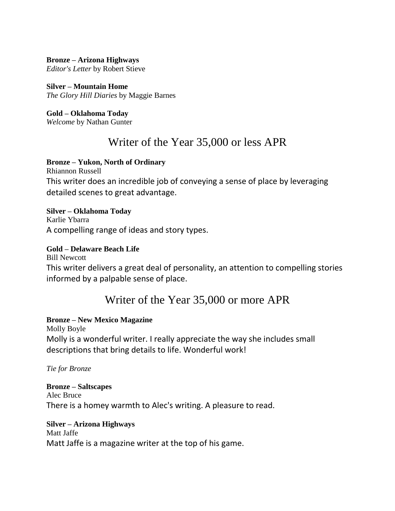#### **Bronze – Arizona Highways**

*Editor's Letter* by Robert Stieve

**Silver – Mountain Home** *The Glory Hill Diaries* by Maggie Barnes

**Gold – Oklahoma Today** *Welcome* by Nathan Gunter

## Writer of the Year 35,000 or less APR

#### **Bronze – Yukon, North of Ordinary**

Rhiannon Russell This writer does an incredible job of conveying a sense of place by leveraging detailed scenes to great advantage.

**Silver – Oklahoma Today** Karlie Ybarra A compelling range of ideas and story types.

#### **Gold – Delaware Beach Life**

Bill Newcott

This writer delivers a great deal of personality, an attention to compelling stories informed by a palpable sense of place.

## Writer of the Year 35,000 or more APR

#### **Bronze – New Mexico Magazine**

Molly Boyle Molly is a wonderful writer. I really appreciate the way she includes small descriptions that bring details to life. Wonderful work!

*Tie for Bronze*

## **Bronze – Saltscapes** Alec Bruce There is a homey warmth to Alec's writing. A pleasure to read.

#### **Silver – Arizona Highways** Matt Jaffe

Matt Jaffe is a magazine writer at the top of his game.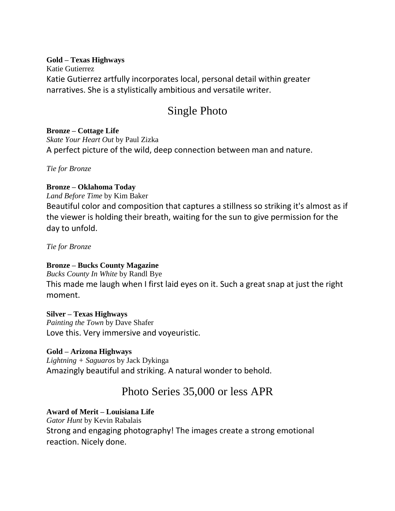**Gold – Texas Highways** Katie Gutierrez Katie Gutierrez artfully incorporates local, personal detail within greater narratives. She is a stylistically ambitious and versatile writer.

# Single Photo

## **Bronze – Cottage Life**

*Skate Your Heart Out* by Paul Zizka A perfect picture of the wild, deep connection between man and nature.

*Tie for Bronze*

## **Bronze – Oklahoma Today**

*Land Before Time* by Kim Baker Beautiful color and composition that captures a stillness so striking it's almost as if the viewer is holding their breath, waiting for the sun to give permission for the day to unfold.

*Tie for Bronze*

## **Bronze – Bucks County Magazine**

*Bucks County In White* by Randl Bye This made me laugh when I first laid eyes on it. Such a great snap at just the right moment.

## **Silver – Texas Highways**

*Painting the Town* by Dave Shafer Love this. Very immersive and voyeuristic.

## **Gold – Arizona Highways**

*Lightning + Saguaros* by Jack Dykinga Amazingly beautiful and striking. A natural wonder to behold.

## Photo Series 35,000 or less APR

## **Award of Merit – Louisiana Life**

*Gator Hunt* by Kevin Rabalais Strong and engaging photography! The images create a strong emotional reaction. Nicely done.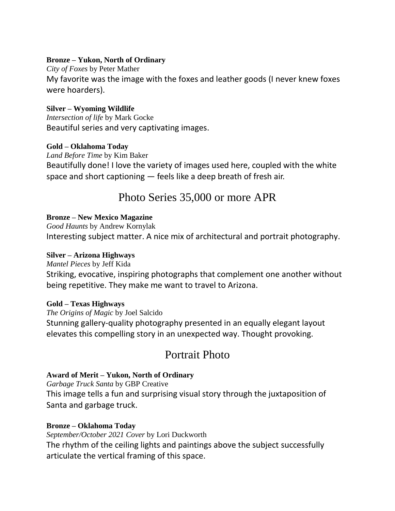#### **Bronze – Yukon, North of Ordinary**

*City of Foxes* by Peter Mather My favorite was the image with the foxes and leather goods (I never knew foxes were hoarders).

### **Silver – Wyoming Wildlife**

*Intersection of life* by Mark Gocke Beautiful series and very captivating images.

### **Gold – Oklahoma Today**

*Land Before Time* by Kim Baker

Beautifully done! I love the variety of images used here, coupled with the white space and short captioning — feels like a deep breath of fresh air.

## Photo Series 35,000 or more APR

## **Bronze – New Mexico Magazine**

*Good Haunts* by Andrew Kornylak Interesting subject matter. A nice mix of architectural and portrait photography.

## **Silver – Arizona Highways**

*Mantel Pieces* by Jeff Kida

Striking, evocative, inspiring photographs that complement one another without being repetitive. They make me want to travel to Arizona.

### **Gold – Texas Highways**

*The Origins of Magic* by Joel Salcido Stunning gallery-quality photography presented in an equally elegant layout elevates this compelling story in an unexpected way. Thought provoking.

# Portrait Photo

## **Award of Merit – Yukon, North of Ordinary**

*Garbage Truck Santa* by GBP Creative

This image tells a fun and surprising visual story through the juxtaposition of Santa and garbage truck.

### **Bronze – Oklahoma Today**

*September/October 2021 Cover* by Lori Duckworth The rhythm of the ceiling lights and paintings above the subject successfully articulate the vertical framing of this space.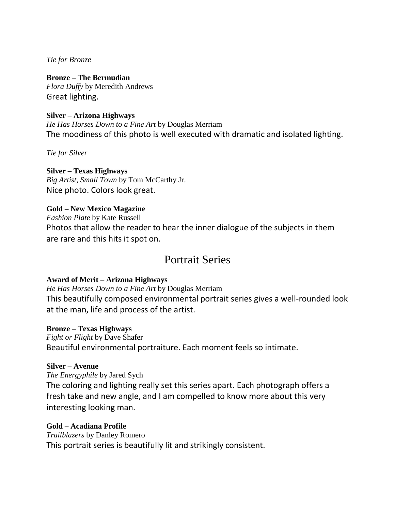*Tie for Bronze*

### **Bronze – The Bermudian**

*Flora Duffy* by Meredith Andrews Great lighting.

#### **Silver – Arizona Highways**

*He Has Horses Down to a Fine Art* by Douglas Merriam The moodiness of this photo is well executed with dramatic and isolated lighting.

*Tie for Silver*

### **Silver – Texas Highways**

*Big Artist, Small Town* by Tom McCarthy Jr. Nice photo. Colors look great.

### **Gold – New Mexico Magazine**

*Fashion Plate* by Kate Russell Photos that allow the reader to hear the inner dialogue of the subjects in them are rare and this hits it spot on.

## Portrait Series

## **Award of Merit – Arizona Highways**

*He Has Horses Down to a Fine Art* by Douglas Merriam This beautifully composed environmental portrait series gives a well-rounded look at the man, life and process of the artist.

### **Bronze – Texas Highways**

*Fight or Flight* by Dave Shafer Beautiful environmental portraiture. Each moment feels so intimate.

### **Silver – Avenue**

*The Energyphile* by Jared Sych

The coloring and lighting really set this series apart. Each photograph offers a fresh take and new angle, and I am compelled to know more about this very interesting looking man.

## **Gold – Acadiana Profile**

*Trailblazers* by Danley Romero This portrait series is beautifully lit and strikingly consistent.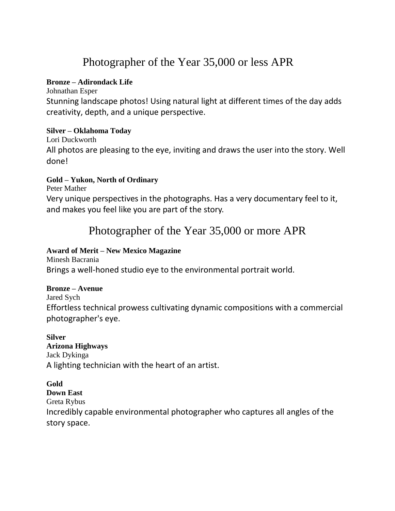# Photographer of the Year 35,000 or less APR

### **Bronze – Adirondack Life**

Johnathan Esper

Stunning landscape photos! Using natural light at different times of the day adds creativity, depth, and a unique perspective.

### **Silver – Oklahoma Today**

Lori Duckworth

All photos are pleasing to the eye, inviting and draws the user into the story. Well done!

## **Gold – Yukon, North of Ordinary**

Peter Mather

Very unique perspectives in the photographs. Has a very documentary feel to it, and makes you feel like you are part of the story.

# Photographer of the Year 35,000 or more APR

### **Award of Merit – New Mexico Magazine**

Minesh Bacrania Brings a well-honed studio eye to the environmental portrait world.

## **Bronze – Avenue**

Jared Sych

Effortless technical prowess cultivating dynamic compositions with a commercial photographer's eye.

**Silver Arizona Highways** Jack Dykinga A lighting technician with the heart of an artist.

## **Gold**

**Down East** Greta Rybus

Incredibly capable environmental photographer who captures all angles of the story space.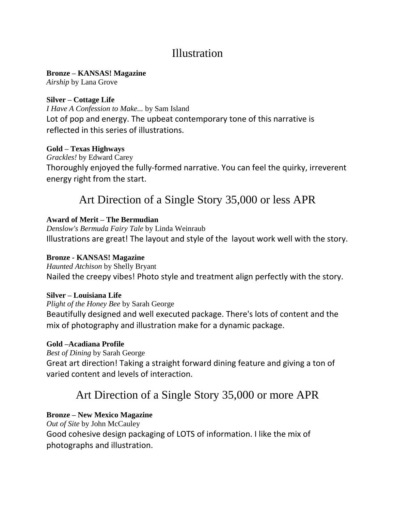## Illustration

**Bronze – KANSAS! Magazine**

*Airship* by Lana Grove

## **Silver – Cottage Life**

*I Have A Confession to Make...* by Sam Island Lot of pop and energy. The upbeat contemporary tone of this narrative is reflected in this series of illustrations.

## **Gold – Texas Highways**

*Grackles!* by Edward Carey Thoroughly enjoyed the fully-formed narrative. You can feel the quirky, irreverent energy right from the start.

# Art Direction of a Single Story 35,000 or less APR

## **Award of Merit – The Bermudian**

*Denslow's Bermuda Fairy Tale* by Linda Weinraub Illustrations are great! The layout and style of the layout work well with the story.

## **Bronze - KANSAS! Magazine**

*Haunted Atchison* by Shelly Bryant Nailed the creepy vibes! Photo style and treatment align perfectly with the story.

## **Silver – Louisiana Life**

*Plight of the Honey Bee* by Sarah George Beautifully designed and well executed package. There's lots of content and the mix of photography and illustration make for a dynamic package.

## **Gold –Acadiana Profile**

*Best of Dining* by Sarah George

Great art direction! Taking a straight forward dining feature and giving a ton of varied content and levels of interaction.

# Art Direction of a Single Story 35,000 or more APR

## **Bronze – New Mexico Magazine**

*Out of Site* by John McCauley

Good cohesive design packaging of LOTS of information. I like the mix of photographs and illustration.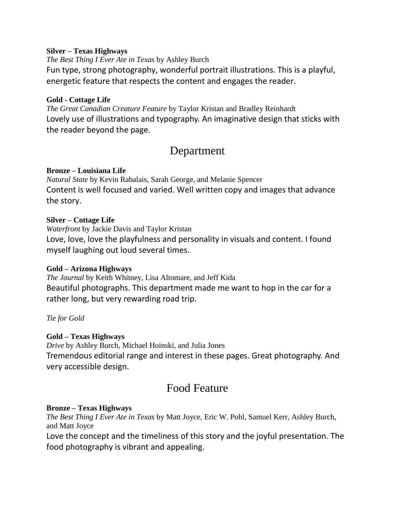#### **Silver – Texas Highways**

*The Best Thing I Ever Ate in Texas* by Ashley Burch

Fun type, strong photography, wonderful portrait illustrations. This is a playful, energetic feature that respects the content and engages the reader.

### **Gold - Cottage Life**

*The Great Canadian Creature Feature* by Taylor Kristan and Bradley Reinhardt Lovely use of illustrations and typography. An imaginative design that sticks with the reader beyond the page.

## Department

### **Bronze – Louisiana Life**

*Natural State* by Kevin Rabalais, Sarah George, and Melanie Spencer Content is well focused and varied. Well written copy and images that advance the story.

### **Silver – Cottage Life**

*Waterfront* by Jackie Davis and Taylor Kristan Love, love, love the playfulness and personality in visuals and content. I found myself laughing out loud several times.

### **Gold – Arizona Highways**

*The Journal* by Keith Whitney, Lisa Altomare, and Jeff Kida Beautiful photographs. This department made me want to hop in the car for a rather long, but very rewarding road trip.

*Tie for Gold*

## **Gold – Texas Highways**

*Drive* by Ashley Burch, Michael Hoinski, and Julia Jones Tremendous editorial range and interest in these pages. Great photography. And very accessible design.

# Food Feature

## **Bronze – Texas Highways**

*The Best Thing I Ever Ate in Texas* by Matt Joyce, Eric W. Pohl, Samuel Kerr, Ashley Burch, and Matt Joyce

Love the concept and the timeliness of this story and the joyful presentation. The food photography is vibrant and appealing.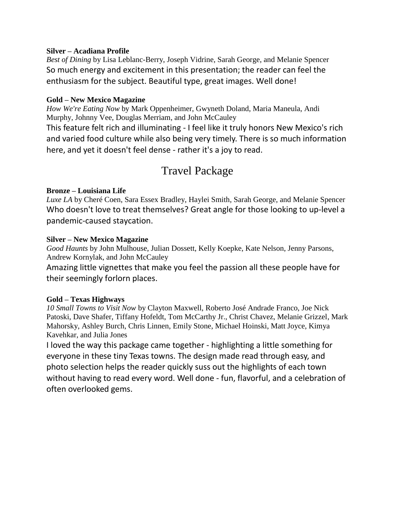#### **Silver – Acadiana Profile**

*Best of Dining* by Lisa Leblanc-Berry, Joseph Vidrine, Sarah George, and Melanie Spencer So much energy and excitement in this presentation; the reader can feel the enthusiasm for the subject. Beautiful type, great images. Well done!

#### **Gold – New Mexico Magazine**

*How We're Eating Now* by Mark Oppenheimer, Gwyneth Doland, Maria Maneula, Andi Murphy, Johnny Vee, Douglas Merriam, and John McCauley This feature felt rich and illuminating - I feel like it truly honors New Mexico's rich and varied food culture while also being very timely. There is so much information here, and yet it doesn't feel dense - rather it's a joy to read.

## Travel Package

#### **Bronze – Louisiana Life**

*Luxe LA* by Cheré Coen, Sara Essex Bradley, Haylei Smith, Sarah George, and Melanie Spencer Who doesn't love to treat themselves? Great angle for those looking to up-level a pandemic-caused staycation.

#### **Silver – New Mexico Magazine**

*Good Haunts* by John Mulhouse, Julian Dossett, Kelly Koepke, Kate Nelson, Jenny Parsons, Andrew Kornylak, and John McCauley

Amazing little vignettes that make you feel the passion all these people have for their seemingly forlorn places.

#### **Gold – Texas Highways**

*10 Small Towns to Visit Now* by Clayton Maxwell, Roberto José Andrade Franco, Joe Nick Patoski, Dave Shafer, Tiffany Hofeldt, Tom McCarthy Jr., Christ Chavez, Melanie Grizzel, Mark Mahorsky, Ashley Burch, Chris Linnen, Emily Stone, Michael Hoinski, Matt Joyce, Kimya Kavehkar, and Julia Jones

I loved the way this package came together - highlighting a little something for everyone in these tiny Texas towns. The design made read through easy, and photo selection helps the reader quickly suss out the highlights of each town without having to read every word. Well done - fun, flavorful, and a celebration of often overlooked gems.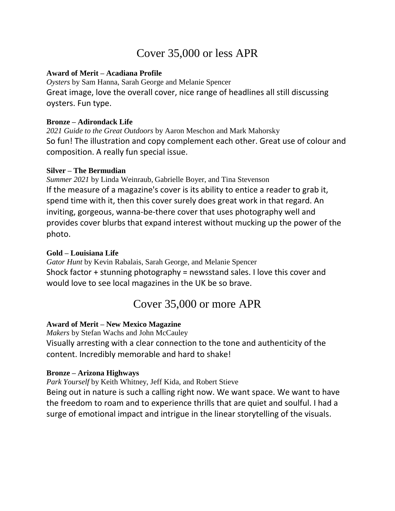# Cover 35,000 or less APR

#### **Award of Merit – Acadiana Profile**

*Oysters* by Sam Hanna, Sarah George and Melanie Spencer Great image, love the overall cover, nice range of headlines all still discussing oysters. Fun type.

#### **Bronze – Adirondack Life**

*2021 Guide to the Great Outdoors* by Aaron Meschon and Mark Mahorsky So fun! The illustration and copy complement each other. Great use of colour and composition. A really fun special issue.

#### **Silver – The Bermudian**

*Summer 2021* by Linda Weinraub, Gabrielle Boyer, and Tina Stevenson If the measure of a magazine's cover is its ability to entice a reader to grab it, spend time with it, then this cover surely does great work in that regard. An inviting, gorgeous, wanna-be-there cover that uses photography well and provides cover blurbs that expand interest without mucking up the power of the photo.

#### **Gold – Louisiana Life**

*Gator Hunt* by Kevin Rabalais, Sarah George, and Melanie Spencer Shock factor + stunning photography = newsstand sales. I love this cover and would love to see local magazines in the UK be so brave.

## Cover 35,000 or more APR

### **Award of Merit – New Mexico Magazine**

*Makers* by Stefan Wachs and John McCauley Visually arresting with a clear connection to the tone and authenticity of the content. Incredibly memorable and hard to shake!

#### **Bronze – Arizona Highways**

*Park Yourself* by Keith Whitney, Jeff Kida, and Robert Stieve

Being out in nature is such a calling right now. We want space. We want to have the freedom to roam and to experience thrills that are quiet and soulful. I had a surge of emotional impact and intrigue in the linear storytelling of the visuals.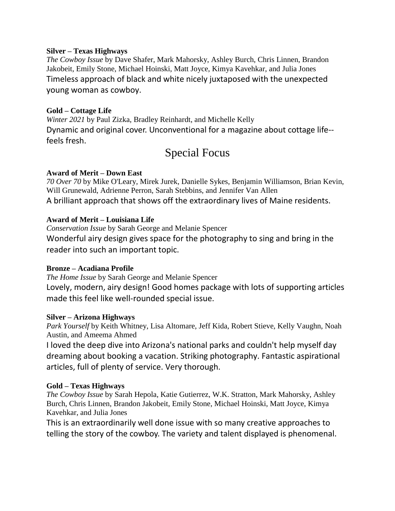#### **Silver – Texas Highways**

*The Cowboy Issue* by Dave Shafer, Mark Mahorsky, Ashley Burch, Chris Linnen, Brandon Jakobeit, Emily Stone, Michael Hoinski, Matt Joyce, Kimya Kavehkar, and Julia Jones Timeless approach of black and white nicely juxtaposed with the unexpected young woman as cowboy.

#### **Gold – Cottage Life**

*Winter 2021* by Paul Zizka, Bradley Reinhardt, and Michelle Kelly Dynamic and original cover. Unconventional for a magazine about cottage life- feels fresh.

## Special Focus

#### **Award of Merit – Down East**

*70 Over 70* by Mike O'Leary, Mirek Jurek, Danielle Sykes, Benjamin Williamson, Brian Kevin, Will Grunewald, Adrienne Perron, Sarah Stebbins, and Jennifer Van Allen A brilliant approach that shows off the extraordinary lives of Maine residents.

#### **Award of Merit – Louisiana Life**

*Conservation Issue* by Sarah George and Melanie Spencer Wonderful airy design gives space for the photography to sing and bring in the reader into such an important topic.

#### **Bronze – Acadiana Profile**

*The Home Issue* by Sarah George and Melanie Spencer Lovely, modern, airy design! Good homes package with lots of supporting articles made this feel like well-rounded special issue.

#### **Silver – Arizona Highways**

*Park Yourself* by Keith Whitney, Lisa Altomare, Jeff Kida, Robert Stieve, Kelly Vaughn, Noah Austin, and Ameema Ahmed

I loved the deep dive into Arizona's national parks and couldn't help myself day dreaming about booking a vacation. Striking photography. Fantastic aspirational articles, full of plenty of service. Very thorough.

#### **Gold – Texas Highways**

*The Cowboy Issue* by Sarah Hepola, Katie Gutierrez, W.K. Stratton, Mark Mahorsky, Ashley Burch, Chris Linnen, Brandon Jakobeit, Emily Stone, Michael Hoinski, Matt Joyce, Kimya Kavehkar, and Julia Jones

This is an extraordinarily well done issue with so many creative approaches to telling the story of the cowboy. The variety and talent displayed is phenomenal.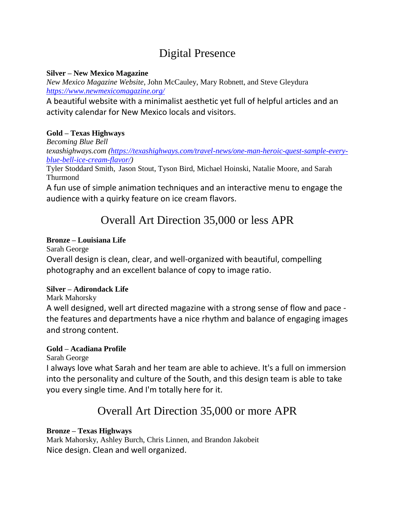# Digital Presence

#### **Silver – New Mexico Magazine**

*New Mexico Magazine Website,* John McCauley, Mary Robnett, and Steve Gleydura *<https://www.newmexicomagazine.org/>*

A beautiful website with a minimalist aesthetic yet full of helpful articles and an activity calendar for New Mexico locals and visitors.

## **Gold – Texas Highways**

*Becoming Blue Bell*

*texashighways.com [\(https://texashighways.com/travel-news/one-man-heroic-quest-sample-every](https://texashighways.com/travel-news/one-man-heroic-quest-sample-every-blue-bell-ice-cream-flavor/)[blue-bell-ice-cream-flavor/\)](https://texashighways.com/travel-news/one-man-heroic-quest-sample-every-blue-bell-ice-cream-flavor/)*

Tyler Stoddard Smith, Jason Stout, Tyson Bird, Michael Hoinski, Natalie Moore, and Sarah Thurmond

A fun use of simple animation techniques and an interactive menu to engage the audience with a quirky feature on ice cream flavors.

# Overall Art Direction 35,000 or less APR

## **Bronze – Louisiana Life**

Sarah George Overall design is clean, clear, and well-organized with beautiful, compelling photography and an excellent balance of copy to image ratio.

## **Silver – Adirondack Life**

Mark Mahorsky

A well designed, well art directed magazine with a strong sense of flow and pace the features and departments have a nice rhythm and balance of engaging images and strong content.

### **Gold – Acadiana Profile**

Sarah George

I always love what Sarah and her team are able to achieve. It's a full on immersion into the personality and culture of the South, and this design team is able to take you every single time. And I'm totally here for it.

# Overall Art Direction 35,000 or more APR

## **Bronze – Texas Highways**

Mark Mahorsky, Ashley Burch, Chris Linnen, and Brandon Jakobeit Nice design. Clean and well organized.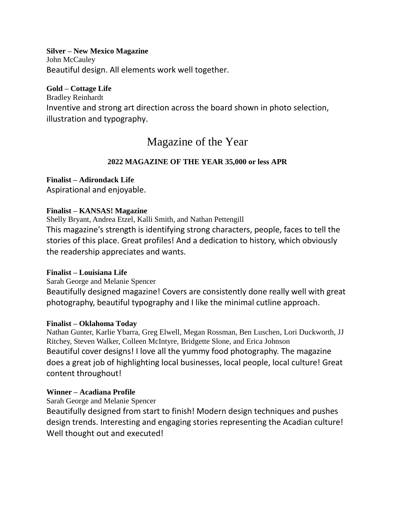#### **Silver – New Mexico Magazine**

John McCauley Beautiful design. All elements work well together.

#### **Gold – Cottage Life**

Bradley Reinhardt Inventive and strong art direction across the board shown in photo selection, illustration and typography.

## Magazine of the Year

## **2022 MAGAZINE OF THE YEAR 35,000 or less APR**

## **Finalist – Adirondack Life**

Aspirational and enjoyable.

#### **Finalist – KANSAS! Magazine**

Shelly Bryant, Andrea Etzel, Kalli Smith, and Nathan Pettengill This magazine's strength is identifying strong characters, people, faces to tell the stories of this place. Great profiles! And a dedication to history, which obviously the readership appreciates and wants.

#### **Finalist – Louisiana Life**

Sarah George and Melanie Spencer

Beautifully designed magazine! Covers are consistently done really well with great photography, beautiful typography and I like the minimal cutline approach.

### **Finalist – Oklahoma Today**

Nathan Gunter, Karlie Ybarra, Greg Elwell, Megan Rossman, Ben Luschen, Lori Duckworth, JJ Ritchey, Steven Walker, Colleen McIntyre, Bridgette Slone, and Erica Johnson Beautiful cover designs! I love all the yummy food photography. The magazine does a great job of highlighting local businesses, local people, local culture! Great content throughout!

### **Winner – Acadiana Profile**

Sarah George and Melanie Spencer

Beautifully designed from start to finish! Modern design techniques and pushes design trends. Interesting and engaging stories representing the Acadian culture! Well thought out and executed!